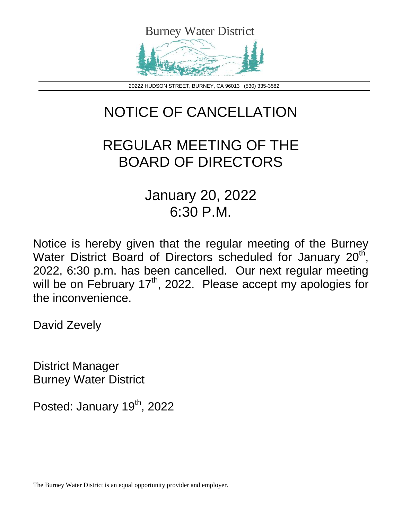

20222 HUDSON STREET, BURNEY, CA 96013 (530) 335-3582

## NOTICE OF CANCELLATION

## REGULAR MEETING OF THE BOARD OF DIRECTORS

## January 20, 2022 6:30 P.M.

Notice is hereby given that the regular meeting of the Burney Water District Board of Directors scheduled for January 20<sup>th</sup>, 2022, 6:30 p.m. has been cancelled. Our next regular meeting will be on February 17<sup>th</sup>, 2022. Please accept my apologies for the inconvenience.

David Zevely

District Manager Burney Water District

Posted: January 19<sup>th</sup>, 2022

The Burney Water District is an equal opportunity provider and employer.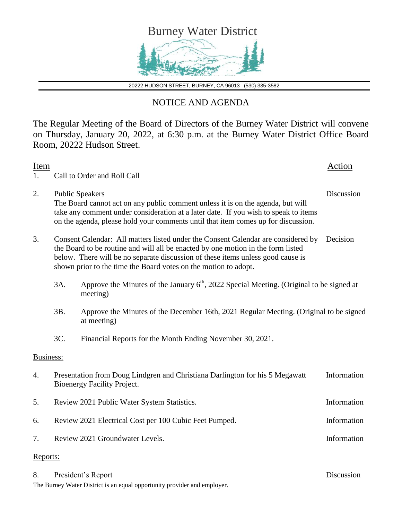

20222 HUDSON STREET, BURNEY, CA 96013 (530) 335-3582

## NOTICE AND AGENDA

The Regular Meeting of the Board of Directors of the Burney Water District will convene on Thursday, January 20, 2022, at 6:30 p.m. at the Burney Water District Office Board Room, 20222 Hudson Street.

| Item<br>1. |                                                                                                                                                                                                                                                                                                                             | Call to Order and Roll Call                                                                                 | Action      |
|------------|-----------------------------------------------------------------------------------------------------------------------------------------------------------------------------------------------------------------------------------------------------------------------------------------------------------------------------|-------------------------------------------------------------------------------------------------------------|-------------|
| 2.         | Discussion<br><b>Public Speakers</b><br>The Board cannot act on any public comment unless it is on the agenda, but will<br>take any comment under consideration at a later date. If you wish to speak to items<br>on the agenda, please hold your comments until that item comes up for discussion.                         |                                                                                                             |             |
| 3.         | Consent Calendar: All matters listed under the Consent Calendar are considered by<br>the Board to be routine and will all be enacted by one motion in the form listed<br>below. There will be no separate discussion of these items unless good cause is<br>shown prior to the time the Board votes on the motion to adopt. |                                                                                                             | Decision    |
|            | 3A.                                                                                                                                                                                                                                                                                                                         | Approve the Minutes of the January $6th$ , 2022 Special Meeting. (Original to be signed at<br>meeting)      |             |
|            | 3B.                                                                                                                                                                                                                                                                                                                         | Approve the Minutes of the December 16th, 2021 Regular Meeting. (Original to be signed<br>at meeting)       |             |
|            | 3C.                                                                                                                                                                                                                                                                                                                         | Financial Reports for the Month Ending November 30, 2021.                                                   |             |
| Business:  |                                                                                                                                                                                                                                                                                                                             |                                                                                                             |             |
| 4.         |                                                                                                                                                                                                                                                                                                                             | Presentation from Doug Lindgren and Christiana Darlington for his 5 Megawatt<br>Bioenergy Facility Project. | Information |
| 5.         |                                                                                                                                                                                                                                                                                                                             | Review 2021 Public Water System Statistics.                                                                 | Information |
| 6.         |                                                                                                                                                                                                                                                                                                                             | Review 2021 Electrical Cost per 100 Cubic Feet Pumped.                                                      | Information |
| 7.         |                                                                                                                                                                                                                                                                                                                             | Review 2021 Groundwater Levels.                                                                             | Information |
| Reports:   |                                                                                                                                                                                                                                                                                                                             |                                                                                                             |             |
| 8.         |                                                                                                                                                                                                                                                                                                                             | President's Report<br>The Burney Water District is an equal opportunity provider and employer.              | Discussion  |